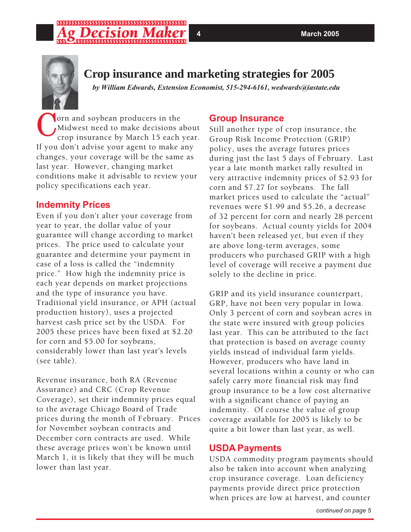

# **Crop insurance and marketing strategies for 2005**

*by William Edwards, Extension Economist, 515-294-6161, wedwards@iastate.edu*

Yorn and soybean producers in the Midwest need to make decisions about crop insurance by March 15 each year. If you don't advise your agent to make any changes, your coverage will be the same as last year. However, changing market conditions make it advisable to review your policy specifications each year.

### **Indemnity Prices**

Even if you don't alter your coverage from year to year, the dollar value of your guarantee will change according to market prices. The price used to calculate your guarantee and determine your payment in case of a loss is called the "indemnity price." How high the indemnity price is each year depends on market projections and the type of insurance you have. Traditional yield insurance, or APH (actual production history), uses a projected harvest cash price set by the USDA. For 2005 these prices have been fixed at \$2.20 for corn and \$5.00 for soybeans, considerably lower than last year's levels (see table).

Revenue insurance, both RA (Revenue Assurance) and CRC (Crop Revenue Coverage), set their indemnity prices equal to the average Chicago Board of Trade prices during the month of February. Prices for November soybean contracts and December corn contracts are used. While these average prices won't be known until March 1, it is likely that they will be much lower than last year.

# **Group Insurance**

Still another type of crop insurance, the Group Risk Income Protection (GRIP) policy, uses the average futures prices during just the last 5 days of February. Last year a late month market rally resulted in very attractive indemnity prices of \$2.93 for corn and \$7.27 for soybeans. The fall market prices used to calculate the "actual" revenues were \$1.99 and \$5.26, a decrease of 32 percent for corn and nearly 28 percent for soybeans. Actual county yields for 2004 haven't been released yet, but even if they are above long-term averages, some producers who purchased GRIP with a high level of coverage will receive a payment due solely to the decline in price.

GRIP and its yield insurance counterpart, GRP, have not been very popular in Iowa. Only 3 percent of corn and soybean acres in the state were insured with group policies last year. This can be attributed to the fact that protection is based on average county yields instead of individual farm yields. However, producers who have land in several locations within a county or who can safely carry more financial risk may find group insurance to be a low cost alternative with a significant chance of paying an indemnity. Of course the value of group coverage available for 2005 is likely to be quite a bit lower than last year, as well.

### **USDA Payments**

USDA commodity program payments should also be taken into account when analyzing crop insurance coverage. Loan deficiency payments provide direct price protection when prices are low at harvest, and counter